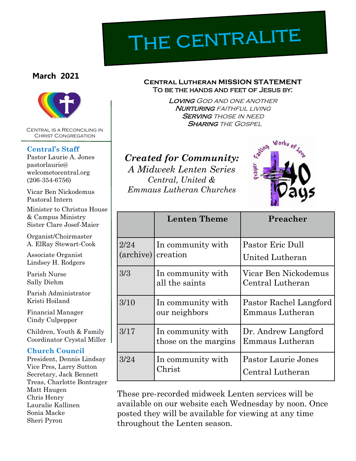# THE CENTRALITE

### **March 2021**



Central is a Reconciling in Christ Congregation

### **Central's Staff**

Pastor Laurie A. Jones pastorlaurie@ welcometocentral.org (206-354-6756)

Vicar Ben Nickodemus Pastoral Intern

Minister to Christus House & Campus Ministry Sister Clare Josef-Maier

Organist/Choirmaster A. ElRay Stewart-Cook

Associate Organist Lindsey H. Rodgers

Parish Nurse Sally Diehm

Parish Administrator Kristi Hoiland

Financial Manager Cindy Culpepper

Children, Youth & Family Coordinator Crystal Miller

### **Church Council**

President, Dennis Lindsay Vice Pres, Larry Sutton Secretary, Jack Bennett Treas, Charlotte Bontrager Matt Haugen Chris Henry Lauralie Kallinen Sonia Macke Sheri Pyron

#### **Central Lutheran MISSION STATEMENT** To be the hands and feet of Jesus by:

Loving God and one another **NURTURING** FAITHFUL LIVING **SERVING THOSE IN NEED SHARING THE GOSPEL** 

### *Created for Community: A Midweek Lenten Series Central, United & Emmaus Lutheran Churches*



|                            | <b>Lenten Theme</b>                       | Preacher                                         |
|----------------------------|-------------------------------------------|--------------------------------------------------|
| 2/24<br>$(\text{archive})$ | In community with<br>creation             | Pastor Eric Dull<br>United Lutheran              |
| 3/3                        | In community with<br>all the saints       | Vicar Ben Nickodemus<br>Central Lutheran         |
| 3/10                       | In community with<br>our neighbors        | Pastor Rachel Langford<br><b>Emmaus Lutheran</b> |
| 3/17                       | In community with<br>those on the margins | Dr. Andrew Langford<br>Emmaus Lutheran           |
| 3/24                       | In community with<br>Christ               | <b>Pastor Laurie Jones</b><br>Central Lutheran   |

These pre-recorded midweek Lenten services will be available on our website each Wednesday by noon. Once posted they will be available for viewing at any time throughout the Lenten season.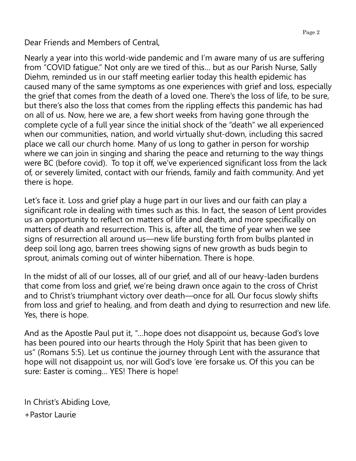Dear Friends and Members of Central,

Nearly a year into this world-wide pandemic and I'm aware many of us are suffering from "COVID fatigue." Not only are we tired of this… but as our Parish Nurse, Sally Diehm, reminded us in our staff meeting earlier today this health epidemic has caused many of the same symptoms as one experiences with grief and loss, especially the grief that comes from the death of a loved one. There's the loss of life, to be sure, but there's also the loss that comes from the rippling effects this pandemic has had on all of us. Now, here we are, a few short weeks from having gone through the complete cycle of a full year since the initial shock of the "death" we all experienced when our communities, nation, and world virtually shut-down, including this sacred place we call our church home. Many of us long to gather in person for worship where we can join in singing and sharing the peace and returning to the way things were BC (before covid). To top it off, we've experienced significant loss from the lack of, or severely limited, contact with our friends, family and faith community. And yet there is hope.

Let's face it. Loss and grief play a huge part in our lives and our faith can play a significant role in dealing with times such as this. In fact, the season of Lent provides us an opportunity to reflect on matters of life and death, and more specifically on matters of death and resurrection. This is, after all, the time of year when we see signs of resurrection all around us—new life bursting forth from bulbs planted in deep soil long ago, barren trees showing signs of new growth as buds begin to sprout, animals coming out of winter hibernation. There is hope.

In the midst of all of our losses, all of our grief, and all of our heavy-laden burdens that come from loss and grief, we're being drawn once again to the cross of Christ and to Christ's triumphant victory over death—once for all. Our focus slowly shifts from loss and grief to healing, and from death and dying to resurrection and new life. Yes, there is hope.

And as the Apostle Paul put it, "…hope does not disappoint us, because God's love has been poured into our hearts through the Holy Spirit that has been given to us" (Romans 5:5). Let us continue the journey through Lent with the assurance that hope will not disappoint us, nor will God's love 'ere forsake us. Of this you can be sure: Easter is coming… YES! There is hope!

In Christ's Abiding Love, +Pastor Laurie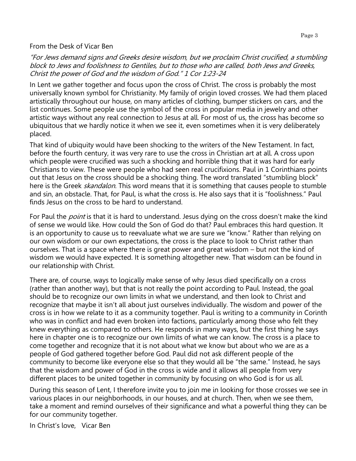#### From the Desk of Vicar Ben

"For Jews demand signs and Greeks desire wisdom, but we proclaim Christ crucified, a stumbling block to Jews and foolishness to Gentiles, but to those who are called, both Jews and Greeks, Christ the power of God and the wisdom of God." 1 Cor 1:23-24

In Lent we gather together and focus upon the cross of Christ. The cross is probably the most universally known symbol for Christianity. My family of origin loved crosses. We had them placed artistically throughout our house, on many articles of clothing, bumper stickers on cars, and the list continues. Some people use the symbol of the cross in popular media in jewelry and other artistic ways without any real connection to Jesus at all. For most of us, the cross has become so ubiquitous that we hardly notice it when we see it, even sometimes when it is very deliberately placed.

That kind of ubiquity would have been shocking to the writers of the New Testament. In fact, before the fourth century, it was very rare to use the cross in Christian art at all. A cross upon which people were crucified was such a shocking and horrible thing that it was hard for early Christians to view. These were people who had seen real crucifixions. Paul in 1 Corinthians points out that Jesus on the cross should be a shocking thing. The word translated "stumbling block" here is the Greek *skandalon*. This word means that it is something that causes people to stumble and sin, an obstacle. That, for Paul, is what the cross is. He also says that it is "foolishness." Paul finds Jesus on the cross to be hard to understand.

For Paul the *point* is that it is hard to understand. Jesus dying on the cross doesn't make the kind of sense we would like. How could the Son of God do that? Paul embraces this hard question. It is an opportunity to cause us to reevaluate what we are sure we "know." Rather than relying on our own wisdom or our own expectations, the cross is the place to look to Christ rather than ourselves. That is a space where there is great power and great wisdom – but not the kind of wisdom we would have expected. It is something altogether new. That wisdom can be found in our relationship with Christ.

There are, of course, ways to logically make sense of why Jesus died specifically on a cross (rather than another way), but that is not really the point according to Paul. Instead, the goal should be to recognize our own limits in what we understand, and then look to Christ and recognize that maybe it isn't all about just ourselves individually. The wisdom and power of the cross is in how we relate to it as a community together. Paul is writing to a community in Corinth who was in conflict and had even broken into factions, particularly among those who felt they knew everything as compared to others. He responds in many ways, but the first thing he says here in chapter one is to recognize our own limits of what we can know. The cross is a place to come together and recognize that it is not about what we know but about who we are as a people of God gathered together before God. Paul did not ask different people of the community to become like everyone else so that they would all be "the same." Instead, he says that the wisdom and power of God in the cross is wide and it allows all people from very different places to be united together in community by focusing on who God is for us all.

During this season of Lent, I therefore invite you to join me in looking for those crosses we see in various places in our neighborhoods, in our houses, and at church. Then, when we see them, take a moment and remind ourselves of their significance and what a powerful thing they can be for our community together.

In Christ's love, Vicar Ben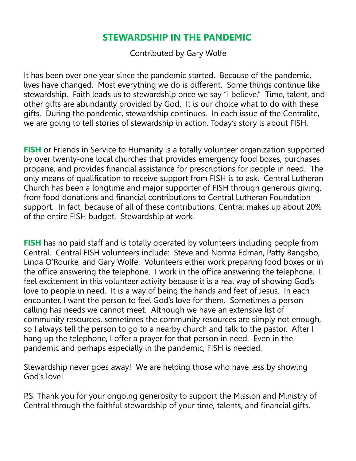### **STEWARDSHIP IN THE PANDEMIC**

Contributed by Gary Wolfe

It has been over one year since the pandemic started. Because of the pandemic, lives have changed. Most everything we do is different. Some things continue like stewardship. Faith leads us to stewardship once we say "I believe." Time, talent, and other gifts are abundantly provided by God. It is our choice what to do with these gifts. During the pandemic, stewardship continues. In each issue of the Centralite, we are going to tell stories of stewardship in action. Today's story is about FISH.

**FISH** or Friends in Service to Humanity is a totally volunteer organization supported by over twenty-one local churches that provides emergency food boxes, purchases propane, and provides financial assistance for prescriptions for people in need. The only means of qualification to receive support from FISH is to ask. Central Lutheran Church has been a longtime and major supporter of FISH through generous giving, from food donations and financial contributions to Central Lutheran Foundation support. In fact, because of all of these contributions, Central makes up about 20% of the entire FISH budget. Stewardship at work!

**FISH** has no paid staff and is totally operated by volunteers including people from Central. Central FISH volunteers include: Steve and Norma Edman, Patty Bangsbo, Linda O'Rourke, and Gary Wolfe. Volunteers either work preparing food boxes or in the office answering the telephone. I work in the office answering the telephone. I feel excitement in this volunteer activity because it is a real way of showing God's love to people in need. It is a way of being the hands and feet of Jesus. In each encounter, I want the person to feel God's love for them. Sometimes a person calling has needs we cannot meet. Although we have an extensive list of community resources, sometimes the community resources are simply not enough, so I always tell the person to go to a nearby church and talk to the pastor. After I hang up the telephone, I offer a prayer for that person in need. Even in the pandemic and perhaps especially in the pandemic, FISH is needed.

Stewardship never goes away! We are helping those who have less by showing God's love!

P.S. Thank you for your ongoing generosity to support the Mission and Ministry of Central through the faithful stewardship of your time, talents, and financial gifts.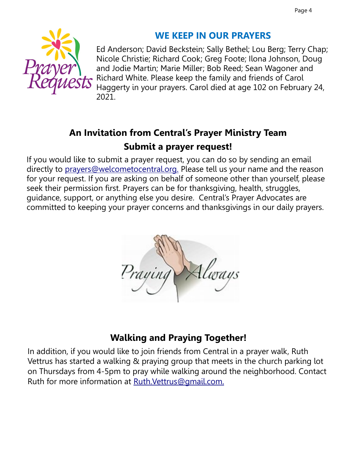

# **WE KEEP IN OUR PRAYERS**

Ed Anderson; David Beckstein; Sally Bethel; Lou Berg; Terry Chap; Nicole Christie; Richard Cook; Greg Foote; Ilona Johnson, Doug and Jodie Martin; Marie Miller; Bob Reed; Sean Wagoner and Richard White. Please keep the family and friends of Carol Haggerty in your prayers. Carol died at age 102 on February 24, 2021.

# **An Invitation from Central's Prayer Ministry Team Submit a prayer request!**

If you would like to submit a prayer request, you can do so by sending an email directly to [prayers@welcometocentral.org.](mailto:prayers@welcometocentral.org) Please tell us your name and the reason for your request. If you are asking on behalf of someone other than yourself, please seek their permission first. Prayers can be for thanksgiving, health, struggles, guidance, support, or anything else you desire. Central's Prayer Advocates are committed to keeping your prayer concerns and thanksgivings in our daily prayers.



# **Walking and Praying Together!**

In addition, if you would like to join friends from Central in a prayer walk, Ruth Vettrus has started a walking & praying group that meets in the church parking lot on Thursdays from 4-5pm to pray while walking around the neighborhood. Contact Ruth for more information at [Ruth.Vettrus@gmail.com.](mailto:RuthVettrus@gmail.com)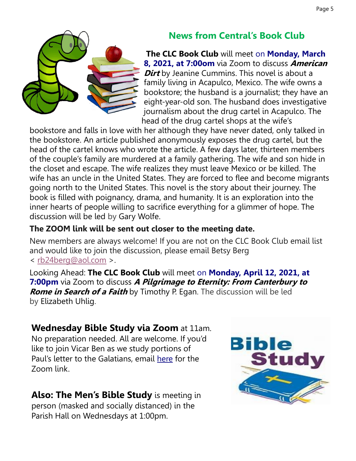

# **News from Central's Book Club**

**The CLC Book Club** will meet [on](x-apple-data-detectors://2) **[Monday, March](x-apple-data-detectors://2)  [8, 2021, at 7:00om](x-apple-data-detectors://2)** via Zoom to discuss **American Dirt** by Jeanine Cummins. This novel is about a family living in Acapulco, Mexico. The wife owns a bookstore; the husband is a journalist; they have an eight-year-old son. The husband does investigative journalism about the drug cartel in Acapulco. The head of the drug cartel shops at the wife's

bookstore and falls in love with her although they have never dated, only talked in the bookstore. An article published anonymously exposes the drug cartel, but the head of the cartel knows who wrote the article. A few days later, thirteen members of the couple's family are murdered at a family gathering. The wife and son hide in the closet and escape. The wife realizes they must leave Mexico or be killed. The wife has an uncle in the United States. They are forced to flee and become migrants going north to the United States. This novel is the story about their journey. The book is filled with poignancy, drama, and humanity. It is an exploration into the inner hearts of people willing to sacrifice everything for a glimmer of hope. The discussion will be led by Gary Wolfe.

### **The ZOOM link will be sent out closer to the meeting date.**

New members are always welcome! If you are not on the CLC Book Club email list and would like to join the discussion, please email Betsy Berg < [rb24berg@aol.com](mailto:rb24berg@aol.com) >.

Looking Ahead: **The CLC Book Club** will meet [on](x-apple-data-detectors://4) **[Monday, April 12, 2021, at](x-apple-data-detectors://4)  [7:00pm](x-apple-data-detectors://4)** via Zoom to discuss **A Pilgrimage to Eternity: From Canterbury to Rome in Search of a Faith** by Timothy P. Egan. The discussion will be led by Elizabeth Uhlig.

## **Wednesday Bible Study via Zoom** at 11am.

No preparation needed. All are welcome. If you'd like to join Vicar Ben as we study portions of Paul's letter to the Galatians, email [here](mailto:vicarben@welcometocentral.org?subject=Please%20send%20me%20the%20link%20for%20the%20Bible%20Study) for the Zoom link.

**Also: The Men's Bible Study** is meeting in person (masked and socially distanced) in the Parish Hall on Wednesdays at 1:00pm.